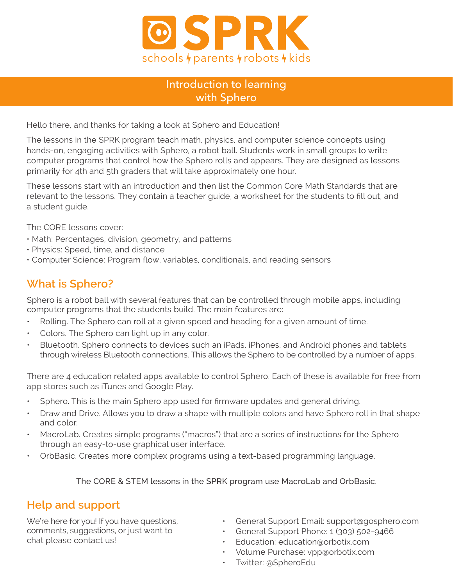

## Introduction to learning with Sphero

Hello there, and thanks for taking a look at Sphero and Education!

The lessons in the SPRK program teach math, physics, and computer science concepts using hands-on, engaging activities with Sphero, a robot ball. Students work in small groups to write computer programs that control how the Sphero rolls and appears. They are designed as lessons primarily for 4th and 5th graders that will take approximately one hour.

These lessons start with an introduction and then list the Common Core Math Standards that are relevant to the lessons. They contain a teacher guide, a worksheet for the students to fill out, and a student guide.

The CORE lessons cover:

- Math: Percentages, division, geometry, and patterns
- Physics: Speed, time, and distance
- Computer Science: Program flow, variables, conditionals, and reading sensors

## **What is Sphero?**

Sphero is a robot ball with several features that can be controlled through mobile apps, including computer programs that the students build. The main features are:

- Rolling. The Sphero can roll at a given speed and heading for a given amount of time.
- Colors. The Sphero can light up in any color.
- Bluetooth. Sphero connects to devices such an iPads, iPhones, and Android phones and tablets through wireless Bluetooth connections. This allows the Sphero to be controlled by a number of apps.

There are 4 education related apps available to control Sphero. Each of these is available for free from app stores such as iTunes and Google Play.

- Sphero. This is the main Sphero app used for firmware updates and general driving.
- Draw and Drive. Allows you to draw a shape with multiple colors and have Sphero roll in that shape and color.
- MacroLab. Creates simple programs ("macros") that are a series of instructions for the Sphero through an easy-to-use graphical user interface.
- OrbBasic. Creates more complex programs using a text-based programming language.

The CORE & STEM lessons in the SPRK program use MacroLab and OrbBasic.

## **Help and support**

We're here for you! If you have questions, comments, suggestions, or just want to chat please contact us!

- General Support Email: support@gosphero.com
- General Support Phone: 1 (303) 502-9466
- Education: education@orbotix.com
- Volume Purchase: vpp@orbotix.com
- Twitter: @SpheroEdu